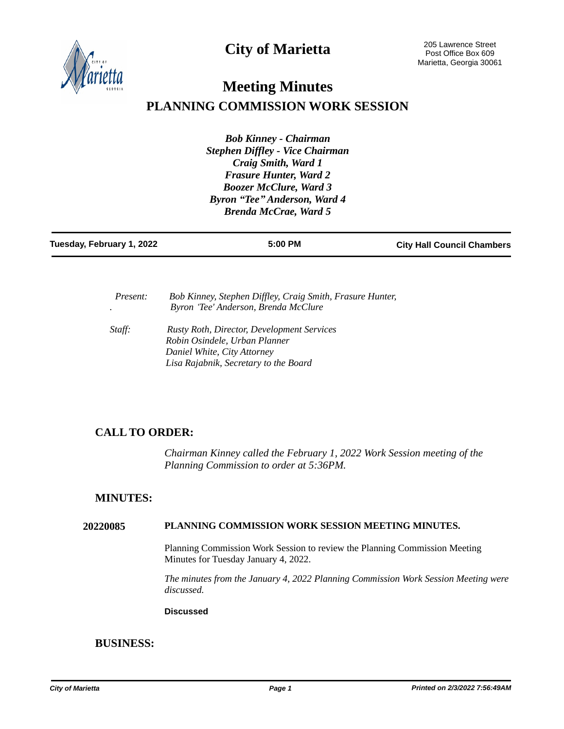**City of Marietta**



# **Meeting Minutes PLANNING COMMISSION WORK SESSION**

*Bob Kinney - Chairman Stephen Diffley - Vice Chairman Craig Smith, Ward 1 Frasure Hunter, Ward 2 Boozer McClure, Ward 3 Byron "Tee" Anderson, Ward 4 Brenda McCrae, Ward 5*

| Tuesday, February 1, 2022 | 5:00 PM | <b>City Hall Council Chambers</b> |
|---------------------------|---------|-----------------------------------|
|                           |         |                                   |

| <i>Present:</i> | Bob Kinney, Stephen Diffley, Craig Smith, Frasure Hunter,<br>Byron 'Tee' Anderson, Brenda McClure                                                          |
|-----------------|------------------------------------------------------------------------------------------------------------------------------------------------------------|
| Staff:          | <b>Rusty Roth, Director, Development Services</b><br>Robin Osindele, Urban Planner<br>Daniel White, City Attorney<br>Lisa Rajabnik, Secretary to the Board |

# **CALL TO ORDER:**

*Chairman Kinney called the February 1, 2022 Work Session meeting of the Planning Commission to order at 5:36PM.*

## **MINUTES:**

#### **20220085 PLANNING COMMISSION WORK SESSION MEETING MINUTES.**

Planning Commission Work Session to review the Planning Commission Meeting Minutes for Tuesday January 4, 2022.

*The minutes from the January 4, 2022 Planning Commission Work Session Meeting were discussed.*

#### **Discussed**

## **BUSINESS:**